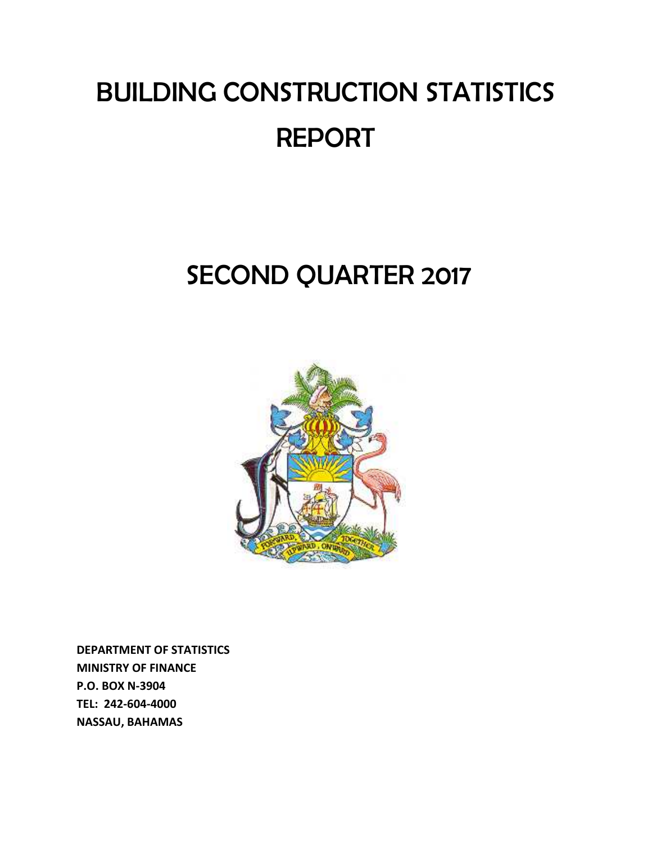# BUILDING CONSTRUCTION STATISTICS REPORT

## SECOND QUARTER 2017



**DEPARTMENT OF STATISTICS MINISTRY OF FINANCE P.O. BOX N‐3904 TEL: 242‐604‐4000 NASSAU, BAHAMAS**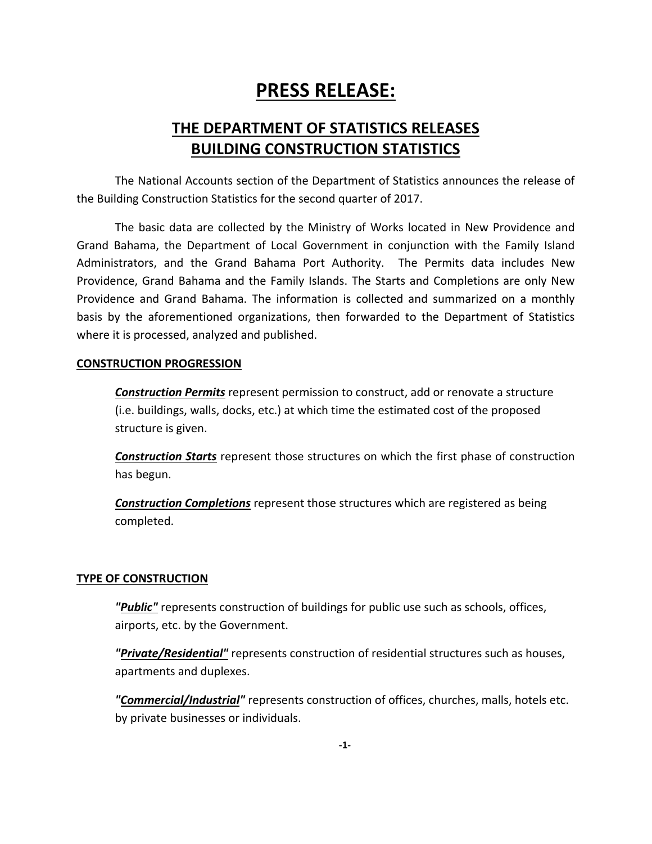## **PRESS RELEASE:**

### **THE DEPARTMENT OF STATISTICS RELEASES BUILDING CONSTRUCTION STATISTICS**

The National Accounts section of the Department of Statistics announces the release of the Building Construction Statistics for the second quarter of 2017.

The basic data are collected by the Ministry of Works located in New Providence and Grand Bahama, the Department of Local Government in conjunction with the Family Island Administrators, and the Grand Bahama Port Authority. The Permits data includes New Providence, Grand Bahama and the Family Islands. The Starts and Completions are only New Providence and Grand Bahama. The information is collected and summarized on a monthly basis by the aforementioned organizations, then forwarded to the Department of Statistics where it is processed, analyzed and published.

#### **CONSTRUCTION PROGRESSION**

*Construction Permits* represent permission to construct, add or renovate a structure (i.e. buildings, walls, docks, etc.) at which time the estimated cost of the proposed structure is given.

*Construction Starts* represent those structures on which the first phase of construction has begun.

*Construction Completions* represent those structures which are registered as being completed.

#### **TYPE OF CONSTRUCTION**

*"Public"* represents construction of buildings for public use such as schools, offices, airports, etc. by the Government.

*"Private/Residential"* represents construction of residential structures such as houses, apartments and duplexes.

*"Commercial/Industrial"* represents construction of offices, churches, malls, hotels etc. by private businesses or individuals.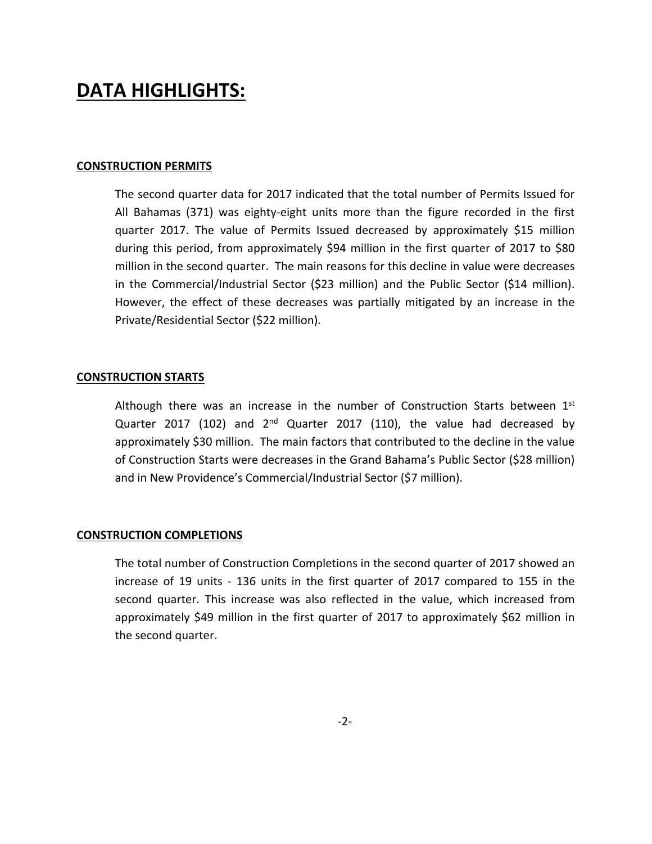## **DATA HIGHLIGHTS:**

#### **CONSTRUCTION PERMITS**

The second quarter data for 2017 indicated that the total number of Permits Issued for All Bahamas (371) was eighty‐eight units more than the figure recorded in the first quarter 2017. The value of Permits Issued decreased by approximately \$15 million during this period, from approximately \$94 million in the first quarter of 2017 to \$80 million in the second quarter. The main reasons for this decline in value were decreases in the Commercial/Industrial Sector (\$23 million) and the Public Sector (\$14 million). However, the effect of these decreases was partially mitigated by an increase in the Private/Residential Sector (\$22 million).

#### **CONSTRUCTION STARTS**

Although there was an increase in the number of Construction Starts between  $1<sup>st</sup>$ Quarter 2017 (102) and  $2^{nd}$  Quarter 2017 (110), the value had decreased by approximately \$30 million. The main factors that contributed to the decline in the value of Construction Starts were decreases in the Grand Bahama's Public Sector (\$28 million) and in New Providence's Commercial/Industrial Sector (\$7 million).

#### **CONSTRUCTION COMPLETIONS**

The total number of Construction Completions in the second quarter of 2017 showed an increase of 19 units ‐ 136 units in the first quarter of 2017 compared to 155 in the second quarter. This increase was also reflected in the value, which increased from approximately \$49 million in the first quarter of 2017 to approximately \$62 million in the second quarter.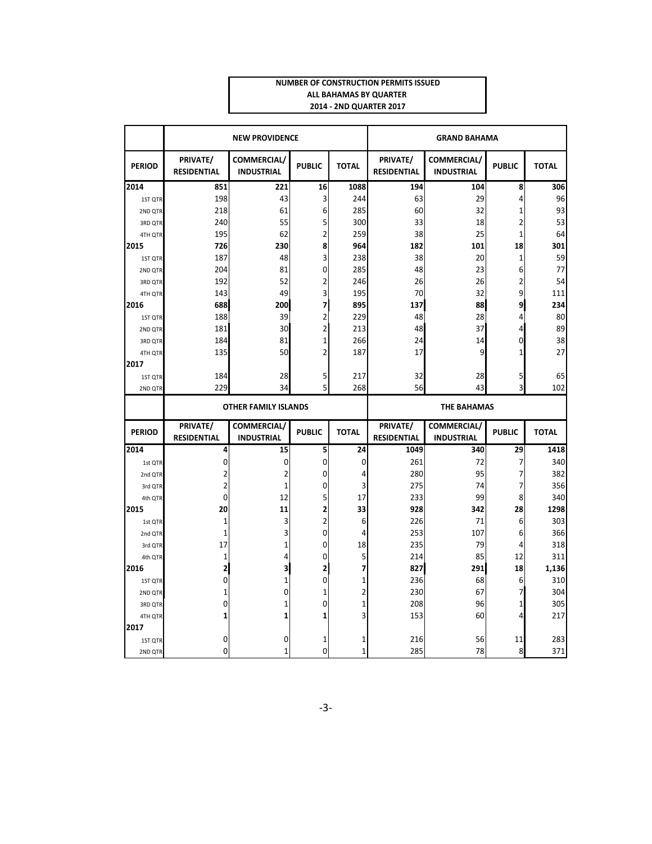#### **NUMBER OF CONSTRUCTION PERMITS ISSUED ALL BAHAMAS BY QUARTER 2014 ‐ 2ND QUARTER 2017**

|               |                                                   | <b>NEW PROVIDENCE</b>            |                         | <b>GRAND BAHAMA</b> |                                |                                  |                         |              |  |  |  |
|---------------|---------------------------------------------------|----------------------------------|-------------------------|---------------------|--------------------------------|----------------------------------|-------------------------|--------------|--|--|--|
| <b>PERIOD</b> | PRIVATE/<br><b>RESIDENTIAL</b>                    | COMMERCIAL/<br><b>INDUSTRIAL</b> | <b>PUBLIC</b>           | <b>TOTAL</b>        | PRIVATE/<br><b>RESIDENTIAL</b> | COMMERCIAL/<br><b>INDUSTRIAL</b> | <b>PUBLIC</b>           | <b>TOTAL</b> |  |  |  |
| 2014          | 851                                               | 221                              | 16                      | 1088                | 194                            | 104                              | 8                       | 306          |  |  |  |
| 1ST QTR       | 198                                               | 43                               | 3                       | 244                 | 63                             | 29                               | 4                       | 96           |  |  |  |
| 2ND QTR       | 218                                               | 61                               | 6                       | 285                 | 60                             | 32                               | $\mathbf 1$             | 93           |  |  |  |
| 3RD QTR       | 240                                               | 55                               | 5                       | 300                 | 33                             | 18                               | $\overline{\mathbf{c}}$ | 53           |  |  |  |
| 4TH QTR       | 195                                               | 62                               | $\overline{c}$          | 259                 | 38                             | 25                               | $\mathbf{1}$            | 64           |  |  |  |
| 2015          | 726                                               | 230                              | 8                       | 964                 | 182                            | 101                              | 18                      | 301          |  |  |  |
| 1ST QTR       | 187                                               | 48                               | 3                       | 238                 | 38                             | 20                               | 1                       | 59           |  |  |  |
| 2ND QTR       | 204                                               | 81                               | $\mathbf 0$             | 285                 | 48                             | 23                               | 6                       | 77           |  |  |  |
| 3RD QTR       | 192                                               | 52                               | $\overline{\mathbf{c}}$ | 246                 | 26                             | 26                               | 2                       | 54           |  |  |  |
| 4TH QTR       | 143                                               | 49                               | 3                       | 195                 | 70                             | 32                               | 9                       | 111          |  |  |  |
| 2016          | 688                                               | 200                              | 7                       | 895                 | 137                            | 88                               | 9                       | 234          |  |  |  |
| 1ST QTR       | 188                                               | 39                               | $\overline{\mathbf{c}}$ | 229                 | 48                             | 28                               | 4                       | 80           |  |  |  |
| 2ND QTR       | 181                                               | 30                               | $\overline{c}$          | 213                 | 48                             | 37                               | 4                       | 89           |  |  |  |
| 3RD QTR       | 184                                               | 81                               | $\mathbf{1}$            | 266                 | 24                             | 14                               | 0                       | 38           |  |  |  |
| 4TH QTR       | 135                                               | 50                               | $\overline{c}$          | 187                 | 17                             | 9                                | 1                       | 27           |  |  |  |
| 2017          |                                                   |                                  |                         |                     |                                |                                  |                         |              |  |  |  |
| 1ST QTR       | 184                                               | 28                               | 5                       | 217                 | 32                             | 28                               | 5                       | 65           |  |  |  |
| 2ND OTR       | 229                                               | 34                               | 5                       | 268                 | 56                             | 43                               | 3                       | 102          |  |  |  |
|               | <b>OTHER FAMILY ISLANDS</b><br><b>THE BAHAMAS</b> |                                  |                         |                     |                                |                                  |                         |              |  |  |  |
|               |                                                   |                                  |                         |                     |                                |                                  |                         |              |  |  |  |
|               | PRIVATE/                                          |                                  |                         |                     | PRIVATE/                       |                                  |                         |              |  |  |  |
| <b>PERIOD</b> | <b>RESIDENTIAL</b>                                | COMMERCIAL/<br><b>INDUSTRIAL</b> | <b>PUBLIC</b>           | <b>TOTAL</b>        | <b>RESIDENTIAL</b>             | COMMERCIAL/<br><b>INDUSTRIAL</b> | <b>PUBLIC</b>           | <b>TOTAL</b> |  |  |  |
| 2014          | 4                                                 | 15                               | 5                       | 24                  | 1049                           | 340                              | 29                      | 1418         |  |  |  |
| 1st QTR       | 0                                                 | 0                                | $\mathbf 0$             | 0                   | 261                            | 72                               | 7                       | 340          |  |  |  |
| 2nd QTR       | 2                                                 | $\overline{\mathbf{c}}$          | 0                       | 4                   | 280                            | 95                               | 7                       | 382          |  |  |  |
| 3rd QTR       | $\overline{2}$                                    | $\mathbf 1$                      | $\mathbf 0$             | 3                   | 275                            | 74                               | 7                       | 356          |  |  |  |
| 4th QTR       | 0                                                 | 12                               | 5                       | 17                  | 233                            | 99                               | 8                       | 340          |  |  |  |
| 2015          | 20                                                | 11                               | 2                       | 33                  | 928                            | 342                              | 28                      | 1298         |  |  |  |
| 1st QTR       | $\mathbf 1$                                       | 3                                | $\overline{c}$          | 6                   | 226                            | 71                               | 6                       | 303          |  |  |  |
| 2nd QTR       | 1                                                 | 3                                | $\mathbf 0$             | 4                   | 253                            | 107                              | 6                       | 366          |  |  |  |
| 3rd QTR       | 17                                                | $\mathbf 1$                      | 0                       | 18                  | 235                            | 79                               | 4                       | 318          |  |  |  |
| 4th QTR       | 1                                                 | 4                                | $\mathbf 0$             | 5                   | 214                            | 85                               | 12                      | 311          |  |  |  |
| 2016          | $\overline{2}$                                    | 3                                | 2                       | 7                   | 827                            | 291                              | 18                      | 1,136        |  |  |  |
| 1ST QTR       | 0                                                 | $\mathbf 1$                      | $\mathbf 0$             | $\mathbf 1$         | 236                            | 68                               | 6                       | 310          |  |  |  |
| 2ND QTR       | 1                                                 | $\mathbf 0$                      | $\mathbf 1$             | 2                   | 230                            | 67                               | 7                       | 304          |  |  |  |
| 3RD QTR       | 0                                                 | $\mathbf{1}$                     | $\mathbf 0$             | $\mathbf 1$         | 208                            | 96                               | $\mathbf{1}$            | 305          |  |  |  |
| 4TH QTR       | 1                                                 | 1                                | 1                       | 3                   | 153                            | 60                               | 4                       | 217          |  |  |  |
| 2017          |                                                   |                                  |                         |                     |                                |                                  |                         |              |  |  |  |
| 1ST QTR       | 0                                                 | 0                                | 1                       | 1                   | 216                            | 56                               | 11                      | 283          |  |  |  |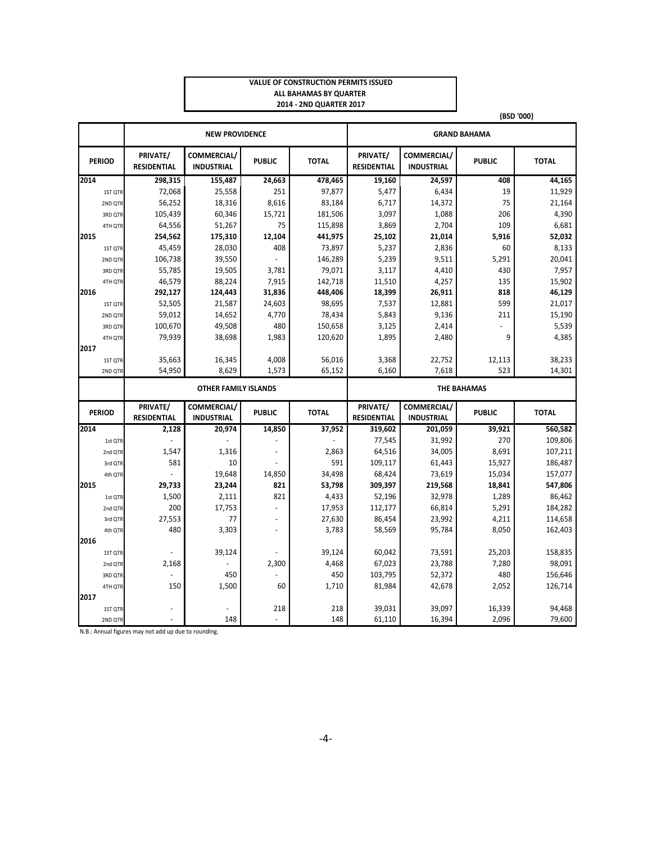#### **VALUE OF CONSTRUCTION PERMITS ISSUED ALL BAHAMAS BY QUARTER 2014 ‐ 2ND QUARTER 2017**

|      |                    |                                 |                                  |                       |              |                                |                                         |                    | (BSD '000)       |  |  |  |
|------|--------------------|---------------------------------|----------------------------------|-----------------------|--------------|--------------------------------|-----------------------------------------|--------------------|------------------|--|--|--|
|      |                    |                                 | <b>NEW PROVIDENCE</b>            |                       |              | <b>GRAND BAHAMA</b>            |                                         |                    |                  |  |  |  |
|      | <b>PERIOD</b>      | PRIVATE/<br><b>RESIDENTIAL</b>  | COMMERCIAL/<br><b>INDUSTRIAL</b> | <b>PUBLIC</b>         | <b>TOTAL</b> | PRIVATE/<br><b>RESIDENTIAL</b> | <b>COMMERCIAL/</b><br><b>INDUSTRIAL</b> | <b>PUBLIC</b>      | <b>TOTAL</b>     |  |  |  |
| 2014 |                    | 298,315                         | 155,487                          | 24,663                | 478,465      | 19,160                         | 24,597                                  | 408                | 44,165           |  |  |  |
|      | 1ST QTR            | 72,068                          | 25,558                           | 251                   | 97,877       | 5,477                          | 6,434                                   | 19                 | 11,929           |  |  |  |
|      | 2ND QTR            | 56,252                          | 18,316                           | 8,616                 | 83,184       | 6,717                          | 14,372                                  | 75                 | 21,164           |  |  |  |
|      | 3RD QTR            | 105,439                         | 60,346                           | 15,721                | 181,506      | 3,097                          | 1,088                                   | 206                | 4,390            |  |  |  |
|      | 4TH QTR            | 64,556                          | 51,267                           | 75                    | 115,898      | 3,869                          | 2,704                                   | 109                | 6,681            |  |  |  |
| 2015 |                    | 254,562                         | 175,310                          | 12,104                | 441,975      | 25,102                         | 21,014                                  | 5,916              | 52,032           |  |  |  |
|      | 1ST QTR            | 45,459                          | 28,030                           | 408                   | 73,897       | 5,237                          | 2,836                                   | 60                 | 8,133            |  |  |  |
|      | 2ND QTR            | 106,738                         | 39,550                           |                       | 146,289      | 5,239                          | 9,511                                   | 5,291              | 20,041           |  |  |  |
|      | 3RD QTR            | 55,785                          | 19,505                           | 3,781                 | 79,071       | 3,117                          | 4,410                                   | 430                | 7,957            |  |  |  |
|      | 4TH QTR            | 46,579                          | 88,224                           | 7,915                 | 142,718      | 11,510                         | 4,257                                   | 135                | 15,902           |  |  |  |
| 2016 |                    | 292,127                         | 124,443                          | 31,836                | 448,406      | 18,399                         | 26,911                                  | 818                | 46,129           |  |  |  |
|      | 1ST QTR            | 52,505                          | 21,587                           | 24,603                | 98,695       | 7,537                          | 12,881                                  | 599                | 21,017           |  |  |  |
|      | 2ND QTR            | 59,012                          | 14,652                           | 4,770                 | 78,434       | 5,843                          | 9,136                                   | 211                | 15,190           |  |  |  |
|      | 3RD QTR            | 100,670                         | 49,508                           | 480                   | 150,658      | 3,125                          | 2,414                                   |                    | 5,539            |  |  |  |
|      | 4TH QTR            | 79,939                          | 38,698                           | 1,983                 | 120,620      | 1,895                          | 2,480                                   | 9                  | 4,385            |  |  |  |
| 2017 |                    |                                 |                                  |                       |              |                                |                                         |                    |                  |  |  |  |
|      | 1ST QTR            | 35,663                          | 16,345                           | 4,008                 | 56,016       | 3,368                          | 22,752                                  | 12,113             | 38,233           |  |  |  |
|      | 2ND QTR            | 54,950                          | 8,629                            | 1.573                 | 65,152       | 6,160                          | 7,618                                   | 523                | 14,301           |  |  |  |
|      |                    |                                 | <b>OTHER FAMILY ISLANDS</b>      |                       |              |                                |                                         | <b>THE BAHAMAS</b> |                  |  |  |  |
|      | <b>PERIOD</b>      | PRIVATE/                        | COMMERCIAL/                      | <b>PUBLIC</b>         | <b>TOTAL</b> | PRIVATE/                       | COMMERCIAL/                             | <b>PUBLIC</b>      | <b>TOTAL</b>     |  |  |  |
|      |                    | <b>RESIDENTIAL</b>              | <b>INDUSTRIAL</b>                |                       |              | <b>RESIDENTIAL</b>             | <b>INDUSTRIAL</b>                       |                    |                  |  |  |  |
| 2014 |                    | 2,128                           | 20,974                           | 14,850                | 37,952       | 319,602                        | 201,059                                 | 39,921             | 560,582          |  |  |  |
|      | 1st QTR            |                                 |                                  |                       |              | 77,545                         | 31,992                                  | 270                | 109,806          |  |  |  |
|      | 2nd QTR            | 1,547                           | 1,316                            |                       | 2,863        | 64,516                         | 34,005                                  | 8,691              | 107,211          |  |  |  |
|      | 3rd QTR            | 581                             | 10                               |                       | 591          | 109,117                        | 61,443                                  | 15,927             | 186,487          |  |  |  |
|      | 4th QTR            |                                 | 19,648                           | 14,850                | 34,498       | 68,424                         | 73,619                                  | 15,034             | 157,077          |  |  |  |
| 2015 |                    | 29,733                          | 23,244                           | 821                   | 53,798       | 309,397                        | 219,568                                 | 18,841             | 547,806          |  |  |  |
|      | 1st QTR            | 1,500                           | 2,111                            | 821                   | 4,433        | 52,196                         | 32,978                                  | 1,289              | 86,462           |  |  |  |
|      | 2nd QTR            | 200                             | 17,753                           |                       | 17,953       | 112,177                        | 66,814                                  | 5,291              | 184,282          |  |  |  |
|      | 3rd QTR            | 27,553                          | 77                               | $\blacksquare$        | 27,630       | 86,454                         | 23,992                                  | 4,211              | 114,658          |  |  |  |
|      | 4th QTR            | 480                             | 3,303                            |                       | 3,783        | 58,569                         | 95,784                                  | 8,050              | 162,403          |  |  |  |
| 2016 |                    |                                 |                                  |                       |              |                                |                                         |                    |                  |  |  |  |
|      | 1ST QTR            |                                 | 39,124                           |                       | 39,124       | 60,042                         | 73,591                                  | 25,203             | 158,835          |  |  |  |
|      | 2nd QTR            | 2,168                           |                                  | 2,300                 | 4,468        | 67,023                         | 23,788                                  | 7,280              | 98,091           |  |  |  |
|      | 3RD QTR            | $\bar{\phantom{a}}$             | 450                              |                       | 450          | 103,795                        | 52,372                                  | 480                | 156,646          |  |  |  |
|      | 4TH QTR            | 150                             | 1,500                            | 60                    | 1,710        | 81,984                         | 42,678                                  | 2,052              | 126,714          |  |  |  |
| 2017 |                    |                                 |                                  |                       |              |                                |                                         |                    |                  |  |  |  |
|      |                    |                                 |                                  |                       |              |                                |                                         |                    |                  |  |  |  |
|      | 1ST QTR<br>2ND QTR | $\frac{1}{2}$<br>$\blacksquare$ | 148                              | 218<br>$\overline{a}$ | 218<br>148   | 39,031<br>61,110               | 39,097<br>16,394                        | 16,339<br>2,096    | 94,468<br>79,600 |  |  |  |

N.B.: Annual figures may not add up due to rounding.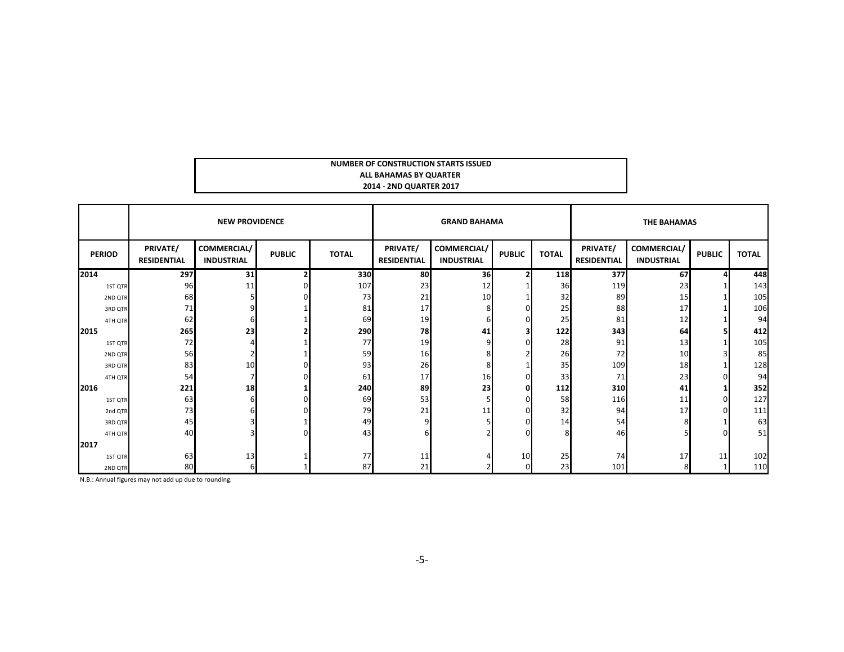| NUMBER OF CONSTRUCTION STARTS ISSUED |  |
|--------------------------------------|--|
| ALL BAHAMAS BY QUARTER               |  |
| 2014 - 2ND QUARTER 2017              |  |

|               |                                | <b>NEW PROVIDENCE</b>            |               |              |                                | <b>GRAND BAHAMA</b>              |               |              | <b>THE BAHAMAS</b>             |                                  |               |              |  |
|---------------|--------------------------------|----------------------------------|---------------|--------------|--------------------------------|----------------------------------|---------------|--------------|--------------------------------|----------------------------------|---------------|--------------|--|
| <b>PERIOD</b> | PRIVATE/<br><b>RESIDENTIAL</b> | COMMERCIAL/<br><b>INDUSTRIAL</b> | <b>PUBLIC</b> | <b>TOTAL</b> | PRIVATE/<br><b>RESIDENTIAL</b> | COMMERCIAL/<br><b>INDUSTRIAL</b> | <b>PUBLIC</b> | <b>TOTAL</b> | PRIVATE/<br><b>RESIDENTIAL</b> | COMMERCIAL/<br><b>INDUSTRIAL</b> | <b>PUBLIC</b> | <b>TOTAL</b> |  |
| 2014          | 297                            | 31                               |               | 330          | 80                             | 36                               |               | 118          | 377                            | 67                               |               | 448          |  |
| 1ST QTR       | 96                             |                                  |               | 107          | 23                             | 12                               |               | 36           | 119                            | 23                               |               | 143          |  |
| 2ND QTR       | 68                             |                                  |               | 73           | 21                             | 10                               |               | 32           | 89                             | 15                               |               | 105          |  |
| 3RD QTR       | 71                             |                                  |               | 81           | 17                             |                                  |               | 25           | 88                             | 17                               |               | 106          |  |
| 4TH QTR       | 62                             |                                  |               | 69           | 19                             |                                  |               | 25           | 81                             | 12                               |               | 94           |  |
| 2015          | 265                            | 23                               |               | 290          | 78                             | 41                               |               | 122          | 343                            | 64                               |               | 412          |  |
| 1ST QTR       | 72                             |                                  |               | 77           | 19                             |                                  |               | 28           | 91                             | 13                               |               | 105          |  |
| 2ND QTR       | 56                             |                                  |               | 59           | 16                             |                                  |               | 26           | 72                             | 10                               |               | 85           |  |
| 3RD QTR       | 83                             | 10                               |               | 93           | 26                             |                                  |               | 35           | 109                            | 18                               |               | 128          |  |
| 4TH QTR       | 54                             |                                  |               | 61           | 17                             | 16                               |               | 33           | 71                             | 23                               |               | 94           |  |
| 2016          | 221                            | 18                               |               | 240          | 89                             | 23                               | Ω             | 112          | 310                            | 41                               |               | 352          |  |
| 1ST QTR       | 63                             |                                  |               | 69           | 53                             |                                  |               | 58           | 116                            | 11                               |               | 127          |  |
| 2nd QTR       | 73                             |                                  |               | 79           | 21                             | 11                               |               | 32           | 94                             | 17                               |               | 111          |  |
| 3RD QTR       | 45                             |                                  |               | 49           |                                |                                  |               | 14           | 54                             |                                  |               | 63           |  |
| 4TH QTR       | 40                             |                                  |               | 43           |                                |                                  |               |              | 46                             |                                  |               | 51           |  |
| 2017          |                                |                                  |               |              |                                |                                  |               |              |                                |                                  |               |              |  |
| 1ST QTR       | 63                             | 13                               |               | 77           | 11                             |                                  | 10            | 25           | 74                             | 17                               | 11            | 102          |  |
| 2ND QTR       | 80                             |                                  |               | 87           | 21                             |                                  |               | 23           | 101                            |                                  |               | 110          |  |

N.B.: Annual figures may not add up due to rounding.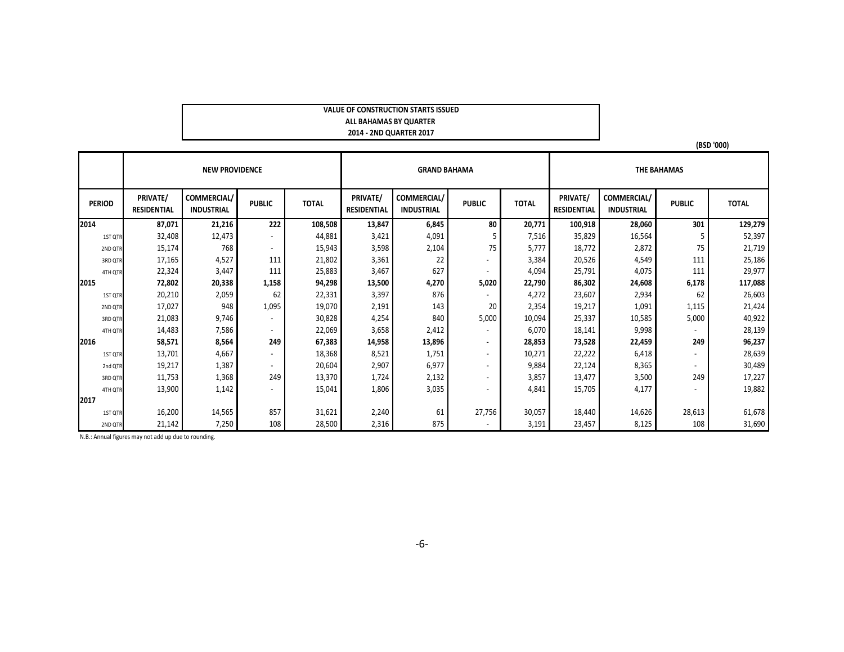#### **VALUE OF CONSTRUCTION STARTS ISSUED ALL BAHAMAS BY QUARTER 2014 ‐ 2ND QUARTER 2017**

|               |                                | <b>NEW PROVIDENCE</b>            |                          |              |                                       | <b>GRAND BAHAMA</b>              |                          |              |                                |                                  |                          |              |
|---------------|--------------------------------|----------------------------------|--------------------------|--------------|---------------------------------------|----------------------------------|--------------------------|--------------|--------------------------------|----------------------------------|--------------------------|--------------|
| <b>PERIOD</b> | PRIVATE/<br><b>RESIDENTIAL</b> | COMMERCIAL/<br><b>INDUSTRIAL</b> | <b>PUBLIC</b>            | <b>TOTAL</b> | <b>PRIVATE/</b><br><b>RESIDENTIAL</b> | COMMERCIAL/<br><b>INDUSTRIAL</b> | <b>PUBLIC</b>            | <b>TOTAL</b> | PRIVATE/<br><b>RESIDENTIAL</b> | COMMERCIAL/<br><b>INDUSTRIAL</b> | <b>PUBLIC</b>            | <b>TOTAL</b> |
| 2014          | 87,071                         | 21,216                           | 222                      | 108,508      | 13,847                                | 6,845                            | 80                       | 20,771       | 100,918                        | 28,060                           | 301                      | 129,279      |
| 1ST QTR       | 32,408                         | 12,473                           |                          | 44,881       | 3,421                                 | 4,091                            |                          | 7,516        | 35,829                         | 16,564                           |                          | 52,397       |
| 2ND QTR       | 15,174                         | 768                              | $\overline{\phantom{a}}$ | 15,943       | 3,598                                 | 2,104                            | 75                       | 5,777        | 18,772                         | 2,872                            | 75                       | 21,719       |
| 3RD QTR       | 17,165                         | 4,527                            | 111                      | 21,802       | 3,361                                 | 22                               | $\overline{\phantom{a}}$ | 3,384        | 20,526                         | 4,549                            | 111                      | 25,186       |
| 4TH QTR       | 22,324                         | 3,447                            | 111                      | 25,883       | 3,467                                 | 627                              | $\overline{\phantom{a}}$ | 4,094        | 25,791                         | 4,075                            | 111                      | 29,977       |
| 2015          | 72,802                         | 20,338                           | 1,158                    | 94,298       | 13,500                                | 4,270                            | 5,020                    | 22,790       | 86,302                         | 24,608                           | 6,178                    | 117,088      |
| 1ST QTR       | 20,210                         | 2,059                            | 62                       | 22,331       | 3,397                                 | 876                              |                          | 4,272        | 23,607                         | 2,934                            | 62                       | 26,603       |
| 2ND QTR       | 17,027                         | 948                              | 1,095                    | 19,070       | 2,191                                 | 143                              | 20                       | 2,354        | 19,217                         | 1,091                            | 1,115                    | 21,424       |
| 3RD QTR       | 21,083                         | 9,746                            | $\overline{\phantom{a}}$ | 30,828       | 4,254                                 | 840                              | 5,000                    | 10,094       | 25,337                         | 10,585                           | 5,000                    | 40,922       |
| 4TH QTR       | 14,483                         | 7,586                            | $\overline{\phantom{a}}$ | 22,069       | 3,658                                 | 2,412                            | $\overline{\phantom{a}}$ | 6,070        | 18,141                         | 9,998                            |                          | 28,139       |
| 2016          | 58,571                         | 8,564                            | 249                      | 67,383       | 14,958                                | 13,896                           | $\blacksquare$           | 28,853       | 73,528                         | 22,459                           | 249                      | 96,237       |
| 1ST QTR       | 13,701                         | 4,667                            | $\overline{\phantom{a}}$ | 18,368       | 8,521                                 | 1,751                            | $\sim$                   | 10,271       | 22,222                         | 6,418                            |                          | 28,639       |
| 2nd QTR       | 19,217                         | 1,387                            | $\overline{\phantom{a}}$ | 20,604       | 2,907                                 | 6,977                            | $\overline{\phantom{a}}$ | 9,884        | 22,124                         | 8,365                            | $\overline{\phantom{a}}$ | 30,489       |
| 3RD QTR       | 11,753                         | 1,368                            | 249                      | 13,370       | 1,724                                 | 2,132                            | $\overline{\phantom{a}}$ | 3,857        | 13,477                         | 3,500                            | 249                      | 17,227       |
| 4TH QTR       | 13,900                         | 1,142                            |                          | 15,041       | 1,806                                 | 3,035                            | $\overline{\phantom{a}}$ | 4,841        | 15,705                         | 4,177                            |                          | 19,882       |
| 2017          |                                |                                  |                          |              |                                       |                                  |                          |              |                                |                                  |                          |              |
| 1ST QTR       | 16,200                         | 14,565                           | 857                      | 31,621       | 2,240                                 | 61                               | 27,756                   | 30,057       | 18,440                         | 14,626                           | 28,613                   | 61,678       |
| 2ND QTR       | 21,142                         | 7,250                            | 108                      | 28,500       | 2,316                                 | 875                              | $\overline{\phantom{a}}$ | 3,191        | 23,457                         | 8,125                            | 108                      | 31,690       |

N.B.: Annual figures may not add up due to rounding.

**(BSD '000)**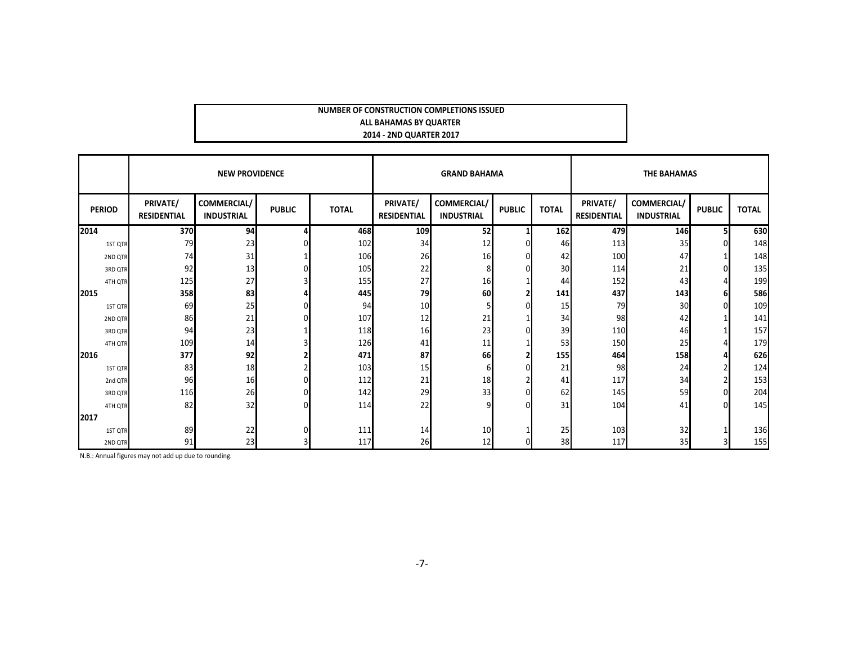#### **NUMBER OF CONSTRUCTION COMPLETIONS ISSUED ALL BAHAMAS BY QUARTER 2014 ‐ 2ND QUARTER 2017**

|               |                                | <b>NEW PROVIDENCE</b>            |               |              | <b>GRAND BAHAMA</b>            |                                         |               |              | <b>THE BAHAMAS</b>             |                                  |               |              |  |
|---------------|--------------------------------|----------------------------------|---------------|--------------|--------------------------------|-----------------------------------------|---------------|--------------|--------------------------------|----------------------------------|---------------|--------------|--|
| <b>PERIOD</b> | PRIVATE/<br><b>RESIDENTIAL</b> | COMMERCIAL/<br><b>INDUSTRIAL</b> | <b>PUBLIC</b> | <b>TOTAL</b> | PRIVATE/<br><b>RESIDENTIAL</b> | <b>COMMERCIAL/</b><br><b>INDUSTRIAL</b> | <b>PUBLIC</b> | <b>TOTAL</b> | PRIVATE/<br><b>RESIDENTIAL</b> | COMMERCIAL/<br><b>INDUSTRIAL</b> | <b>PUBLIC</b> | <b>TOTAL</b> |  |
| 2014          | <b>370</b>                     | 94                               |               | 468          | 109                            | 52                                      |               | 162          | 479                            | <b>146</b>                       | 5             | 630          |  |
| 1ST QTR       | 79                             | 23                               |               | 102          | 34                             | 12                                      |               | 46           | 113                            | 35                               | n             | 148          |  |
| 2ND QTR       | 74                             | 31                               |               | 106          | 26                             | 16                                      |               | 42           | 100                            | 47                               |               | 148          |  |
| 3RD QTR       | 92                             | 13                               |               | 105          | 22                             |                                         |               | 30           | 114                            | 21                               | $\Omega$      | 135          |  |
| 4TH QTR       | 125                            | 27                               |               | 155          | 27                             | 16                                      |               | 44           | 152                            | 43                               |               | 199          |  |
| 2015          | 358                            | 83                               |               | 445          | 79                             | 60                                      |               | 141          | 437                            | 143                              | 6             | 586          |  |
| 1ST QTR       | 69                             | 25                               |               | 94           | 10                             |                                         |               | 15           | 79                             | 30                               | $\Omega$      | 109          |  |
| 2ND QTR       | 86                             | 21                               |               | 107          | 12                             | 21                                      |               | 34           | 98                             | 42                               |               | 141          |  |
| 3RD QTR       | 94                             | 23                               |               | 118          | 16                             | 23                                      |               | 39           | 110                            | 46                               |               | 157          |  |
| 4TH QTR       | 109                            | 14                               |               | 126          | 41                             | 11                                      |               | 53           | 150                            | 25                               |               | 179          |  |
| 2016          | 377                            | 92                               |               | 471          | 87                             | 66                                      |               | 155          | 464                            | 158                              |               | 626          |  |
| 1ST QTR       | 83                             | 18                               |               | 103          | 15                             |                                         |               | 21           | 98                             | 24                               |               | 124          |  |
| 2nd QTR       | 96                             | 16                               |               | 112          | 21                             | 18                                      |               | 41           | 117                            | 34                               |               | 153          |  |
| 3RD QTR       | 116                            | 26                               |               | 142          | 29                             | 33                                      |               | 62           | 145                            | 59                               | $\Omega$      | 204          |  |
| 4TH QTR       | 82                             | 32                               |               | 114          | 22                             |                                         |               | 31           | 104                            | 41                               | $\Omega$      | 145          |  |
| 2017          |                                |                                  |               |              |                                |                                         |               |              |                                |                                  |               |              |  |
| 1ST QTR       | 89                             | 22                               |               | 111          | 14                             | 10                                      |               | 25           | 103                            | 32                               |               | 136          |  |
| 2ND QTR       | 91                             | 23                               |               | 117          | 26                             | 12                                      |               | 38           | 117                            | 35                               |               | 155          |  |

N.B.: Annual figures may not add up due to rounding.